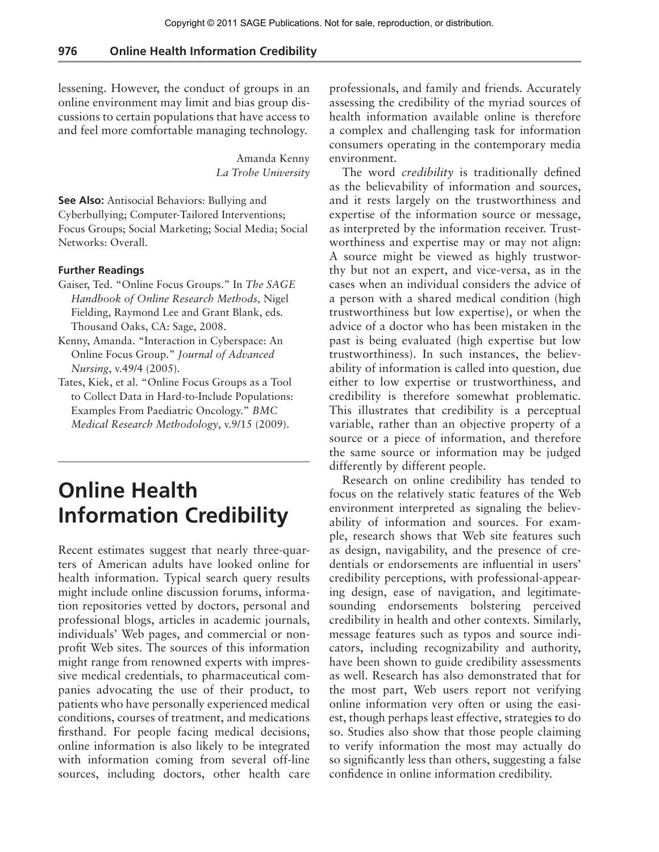lessening. However, the conduct of groups in an online environment may limit and bias group discussions to certain populations that have access to and feel more comfortable managing technology.

> Amanda Kenny *La Trobe University*

**See Also:** Antisocial Behaviors: Bullying and Cyberbullying; Computer-Tailored Interventions; Focus Groups; Social Marketing; Social Media; Social Networks: Overall.

#### **Further Readings**

- Gaiser, Ted. "Online Focus Groups." In *The SAGE Handbook of Online Research Methods,* Nigel Fielding, Raymond Lee and Grant Blank, eds*.* Thousand Oaks, CA: Sage, 2008.
- Kenny, Amanda. "Interaction in Cyberspace: An Online Focus Group." *Journal of Advanced Nursing*, v.49/4 (2005).
- Tates, Kiek, et al. "Online Focus Groups as a Tool to Collect Data in Hard-to-Include Populations: Examples From Paediatric Oncology." *BMC Medical Research Methodology*, v.9/15 (2009).

# **Online Health Information Credibility**

Recent estimates suggest that nearly three-quarters of American adults have looked online for health information. Typical search query results might include online discussion forums, information repositories vetted by doctors, personal and professional blogs, articles in academic journals, individuals' Web pages, and commercial or nonprofit Web sites. The sources of this information might range from renowned experts with impressive medical credentials, to pharmaceutical companies advocating the use of their product, to patients who have personally experienced medical conditions, courses of treatment, and medications firsthand. For people facing medical decisions, online information is also likely to be integrated with information coming from several off-line sources, including doctors, other health care professionals, and family and friends. Accurately assessing the credibility of the myriad sources of health information available online is therefore a complex and challenging task for information consumers operating in the contemporary media environment.

The word *credibility* is traditionally defined as the believability of information and sources, and it rests largely on the trustworthiness and expertise of the information source or message, as interpreted by the information receiver. Trustworthiness and expertise may or may not align: A source might be viewed as highly trustworthy but not an expert, and vice-versa, as in the cases when an individual considers the advice of a person with a shared medical condition (high trustworthiness but low expertise), or when the advice of a doctor who has been mistaken in the past is being evaluated (high expertise but low trustworthiness). In such instances, the believability of information is called into question, due either to low expertise or trustworthiness, and credibility is therefore somewhat problematic. This illustrates that credibility is a perceptual variable, rather than an objective property of a source or a piece of information, and therefore the same source or information may be judged differently by different people.

Research on online credibility has tended to focus on the relatively static features of the Web environment interpreted as signaling the believability of information and sources. For example, research shows that Web site features such as design, navigability, and the presence of credentials or endorsements are influential in users' credibility perceptions, with professional-appearing design, ease of navigation, and legitimatesounding endorsements bolstering perceived credibility in health and other contexts. Similarly, message features such as typos and source indicators, including recognizability and authority, have been shown to guide credibility assessments as well. Research has also demonstrated that for the most part, Web users report not verifying online information very often or using the easiest, though perhaps least effective, strategies to do so. Studies also show that those people claiming to verify information the most may actually do so significantly less than others, suggesting a false confidence in online information credibility.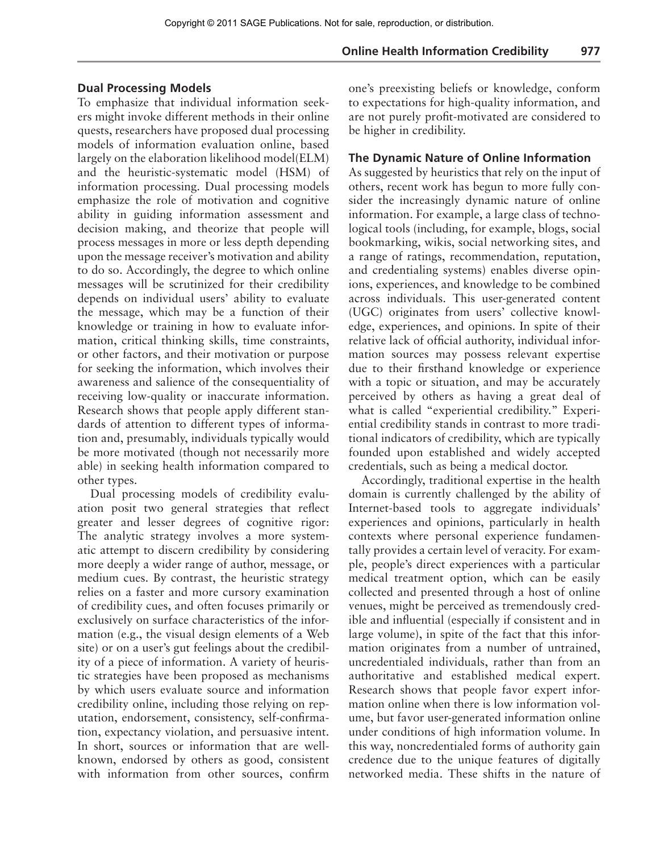## **Dual Processing Models**

To emphasize that individual information seekers might invoke different methods in their online quests, researchers have proposed dual processing models of information evaluation online, based largely on the elaboration likelihood model(ELM) and the heuristic-systematic model (HSM) of information processing. Dual processing models emphasize the role of motivation and cognitive ability in guiding information assessment and decision making, and theorize that people will process messages in more or less depth depending upon the message receiver's motivation and ability to do so. Accordingly, the degree to which online messages will be scrutinized for their credibility depends on individual users' ability to evaluate the message, which may be a function of their knowledge or training in how to evaluate information, critical thinking skills, time constraints, or other factors, and their motivation or purpose for seeking the information, which involves their awareness and salience of the consequentiality of receiving low-quality or inaccurate information. Research shows that people apply different standards of attention to different types of information and, presumably, individuals typically would be more motivated (though not necessarily more able) in seeking health information compared to other types.

Dual processing models of credibility evaluation posit two general strategies that reflect greater and lesser degrees of cognitive rigor: The analytic strategy involves a more systematic attempt to discern credibility by considering more deeply a wider range of author, message, or medium cues. By contrast, the heuristic strategy relies on a faster and more cursory examination of credibility cues, and often focuses primarily or exclusively on surface characteristics of the information (e.g., the visual design elements of a Web site) or on a user's gut feelings about the credibility of a piece of information. A variety of heuristic strategies have been proposed as mechanisms by which users evaluate source and information credibility online, including those relying on reputation, endorsement, consistency, self-confirmation, expectancy violation, and persuasive intent. In short, sources or information that are wellknown, endorsed by others as good, consistent with information from other sources, confirm

one's preexisting beliefs or knowledge, conform to expectations for high-quality information, and are not purely profit-motivated are considered to be higher in credibility.

### **The Dynamic Nature of Online Information**

As suggested by heuristics that rely on the input of others, recent work has begun to more fully consider the increasingly dynamic nature of online information. For example, a large class of technological tools (including, for example, blogs, social bookmarking, wikis, social networking sites, and a range of ratings, recommendation, reputation, and credentialing systems) enables diverse opinions, experiences, and knowledge to be combined across individuals. This user-generated content (UGC) originates from users' collective knowledge, experiences, and opinions. In spite of their relative lack of official authority, individual information sources may possess relevant expertise due to their firsthand knowledge or experience with a topic or situation, and may be accurately perceived by others as having a great deal of what is called "experiential credibility." Experiential credibility stands in contrast to more traditional indicators of credibility, which are typically founded upon established and widely accepted credentials, such as being a medical doctor.

Accordingly, traditional expertise in the health domain is currently challenged by the ability of Internet-based tools to aggregate individuals' experiences and opinions, particularly in health contexts where personal experience fundamentally provides a certain level of veracity. For example, people's direct experiences with a particular medical treatment option, which can be easily collected and presented through a host of online venues, might be perceived as tremendously credible and influential (especially if consistent and in large volume), in spite of the fact that this information originates from a number of untrained, uncredentialed individuals, rather than from an authoritative and established medical expert. Research shows that people favor expert information online when there is low information volume, but favor user-generated information online under conditions of high information volume. In this way, noncredentialed forms of authority gain credence due to the unique features of digitally networked media. These shifts in the nature of